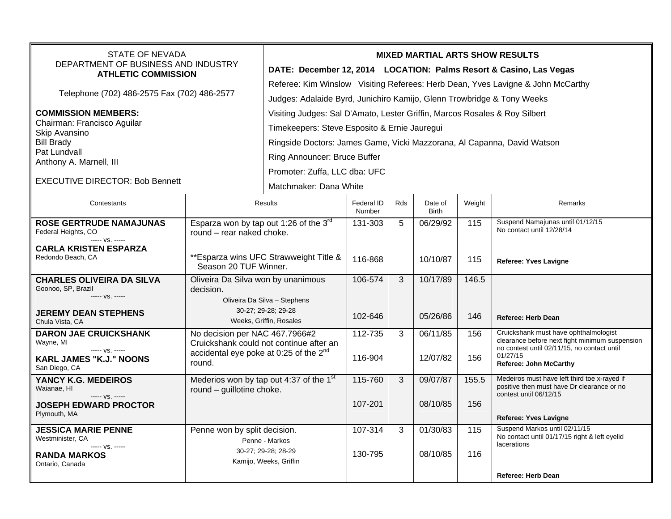| <b>STATE OF NEVADA</b><br>DEPARTMENT OF BUSINESS AND INDUSTRY<br><b>ATHLETIC COMMISSION</b> |                                                                                               | <b>MIXED MARTIAL ARTS SHOW RESULTS</b>                                          |                      |     |                         |                  |                                                                                            |  |  |
|---------------------------------------------------------------------------------------------|-----------------------------------------------------------------------------------------------|---------------------------------------------------------------------------------|----------------------|-----|-------------------------|------------------|--------------------------------------------------------------------------------------------|--|--|
|                                                                                             |                                                                                               | DATE: December 12, 2014 LOCATION: Palms Resort & Casino, Las Vegas              |                      |     |                         |                  |                                                                                            |  |  |
| Telephone (702) 486-2575 Fax (702) 486-2577                                                 |                                                                                               | Referee: Kim Winslow Visiting Referees: Herb Dean, Yves Lavigne & John McCarthy |                      |     |                         |                  |                                                                                            |  |  |
|                                                                                             |                                                                                               | Judges: Adalaide Byrd, Junichiro Kamijo, Glenn Trowbridge & Tony Weeks          |                      |     |                         |                  |                                                                                            |  |  |
| <b>COMMISSION MEMBERS:</b>                                                                  |                                                                                               | Visiting Judges: Sal D'Amato, Lester Griffin, Marcos Rosales & Roy Silbert      |                      |     |                         |                  |                                                                                            |  |  |
| Chairman: Francisco Aguilar<br>Skip Avansino                                                |                                                                                               | Timekeepers: Steve Esposito & Ernie Jauregui                                    |                      |     |                         |                  |                                                                                            |  |  |
| <b>Bill Brady</b><br>Pat Lundvall<br>Anthony A. Marnell, III                                |                                                                                               | Ringside Doctors: James Game, Vicki Mazzorana, Al Capanna, David Watson         |                      |     |                         |                  |                                                                                            |  |  |
|                                                                                             |                                                                                               | Ring Announcer: Bruce Buffer                                                    |                      |     |                         |                  |                                                                                            |  |  |
|                                                                                             |                                                                                               | Promoter: Zuffa, LLC dba: UFC                                                   |                      |     |                         |                  |                                                                                            |  |  |
| <b>EXECUTIVE DIRECTOR: Bob Bennett</b>                                                      |                                                                                               | Matchmaker: Dana White                                                          |                      |     |                         |                  |                                                                                            |  |  |
| Contestants                                                                                 | <b>Results</b>                                                                                |                                                                                 | Federal ID<br>Number | Rds | Date of<br><b>Birth</b> | Weight           | Remarks                                                                                    |  |  |
| <b>ROSE GERTRUDE NAMAJUNAS</b>                                                              | Esparza won by tap out 1:26 of the 3rd                                                        |                                                                                 | 131-303              | 5   | 06/29/92                | $\overline{115}$ | Suspend Namajunas until 01/12/15<br>No contact until 12/28/14                              |  |  |
| Federal Heights, CO<br>----- VS. -----                                                      | round - rear naked choke.                                                                     |                                                                                 |                      |     |                         |                  |                                                                                            |  |  |
| <b>CARLA KRISTEN ESPARZA</b><br>Redondo Beach, CA                                           | ** Esparza wins UFC Strawweight Title &<br>Season 20 TUF Winner.                              |                                                                                 | 116-868              |     | 10/10/87                | 115              | <b>Referee: Yves Lavigne</b>                                                               |  |  |
| <b>CHARLES OLIVEIRA DA SILVA</b>                                                            | Oliveira Da Silva won by unanimous                                                            |                                                                                 | 106-574              | 3   | 10/17/89                | 146.5            |                                                                                            |  |  |
| Goonoo, SP, Brazil<br>$--- VS. ---$                                                         | decision.<br>Oliveira Da Silva - Stephens                                                     |                                                                                 |                      |     |                         |                  |                                                                                            |  |  |
| <b>JEREMY DEAN STEPHENS</b><br>Chula Vista, CA                                              | 30-27; 29-28; 29-28<br>Weeks, Griffin, Rosales                                                |                                                                                 | 102-646              |     | 05/26/86                | 146              | <b>Referee: Herb Dean</b>                                                                  |  |  |
| <b>DARON JAE CRUICKSHANK</b>                                                                | No decision per NAC 467.7966#2                                                                |                                                                                 | 112-735              | 3   | 06/11/85                | 156              | Cruickshank must have ophthalmologist<br>clearance before next fight minimum suspension    |  |  |
| Wayne, MI<br>$--- vs. ---$                                                                  | Cruickshank could not continue after an<br>accidental eye poke at 0:25 of the 2 <sup>nd</sup> |                                                                                 |                      |     |                         |                  | no contest until 02/11/15, no contact until<br>01/27/15                                    |  |  |
| <b>KARL JAMES "K.J." NOONS</b><br>San Diego, CA                                             | round.                                                                                        |                                                                                 | 116-904              |     | 12/07/82                | 156              | <b>Referee: John McCarthy</b>                                                              |  |  |
| YANCY K.G. MEDEIROS<br>Waianae, HI                                                          | Mederios won by tap out 4:37 of the 1 <sup>st</sup>                                           |                                                                                 | 115-760              | 3   | 09/07/87                | 155.5            | Medeiros must have left third toe x-rayed if<br>positive then must have Dr clearance or no |  |  |
| $--- vs. ---$                                                                               | round - guillotine choke.                                                                     |                                                                                 | 107-201              |     | 08/10/85                | 156              | contest until 06/12/15                                                                     |  |  |
| <b>JOSEPH EDWARD PROCTOR</b><br>Plymouth, MA                                                |                                                                                               |                                                                                 |                      |     |                         |                  | <b>Referee: Yves Lavigne</b>                                                               |  |  |
| <b>JESSICA MARIE PENNE</b>                                                                  | Penne won by split decision.                                                                  |                                                                                 | 107-314              | 3   | 01/30/83                | 115              | Suspend Markos until 02/11/15                                                              |  |  |
| Westminister, CA<br>----- VS. -----                                                         |                                                                                               | Penne - Markos                                                                  |                      |     |                         |                  | No contact until 01/17/15 right & left eyelid<br>lacerations                               |  |  |
| <b>RANDA MARKOS</b><br>Ontario, Canada                                                      |                                                                                               | 30-27; 29-28; 28-29<br>Kamijo, Weeks, Griffin                                   | 130-795              |     | 08/10/85                | 116              |                                                                                            |  |  |
|                                                                                             |                                                                                               |                                                                                 |                      |     |                         |                  | <b>Referee: Herb Dean</b>                                                                  |  |  |